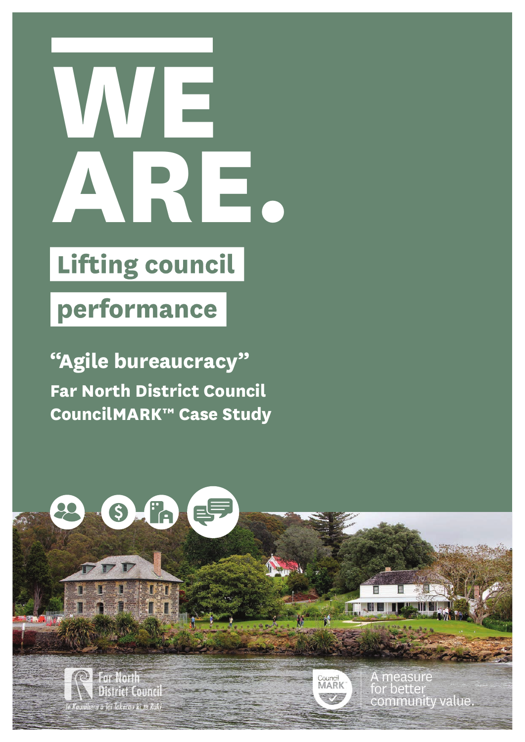

## **Lifting council**

## performance

SAR

 $\Delta$ 

**"Agile bureaucracy" Far North District Council CouncilMARK™ Case Study**



流行地

Council<br>MARK

A measure for better community value

**Far North District Council: Case Study 1**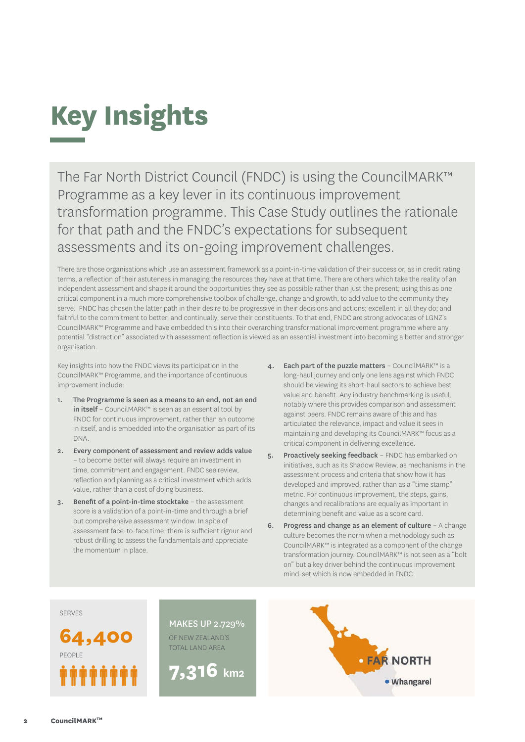

The Far North District Council (FNDC) is using the CouncilMARK™ Programme as a key lever in its continuous improvement transformation programme. This Case Study outlines the rationale for that path and the FNDC's expectations for subsequent assessments and its on-going improvement challenges.

There are those organisations which use an assessment framework as a point-in-time validation of their success or, as in credit rating terms, a reflection of their astuteness in managing the resources they have at that time. There are others which take the reality of an independent assessment and shape it around the opportunities they see as possible rather than just the present; using this as one critical component in a much more comprehensive toolbox of challenge, change and growth, to add value to the community they serve. FNDC has chosen the latter path in their desire to be progressive in their decisions and actions; excellent in all they do; and faithful to the commitment to better, and continually, serve their constituents. To that end, FNDC are strong advocates of LGNZ's CouncilMARK™ Programme and have embedded this into their overarching transformational improvement programme where any potential "distraction" associated with assessment reflection is viewed as an essential investment into becoming a better and stronger organisation.

Key insights into how the FNDC views its participation in the CouncilMARK™ Programme, and the importance of continuous improvement include:

- 1. The Programme is seen as a means to an end, not an end in itself – CouncilMARK™ is seen as an essential tool by FNDC for continuous improvement, rather than an outcome in itself, and is embedded into the organisation as part of its DNA.
- 2. Every component of assessment and review adds value – to become better will always require an investment in time, commitment and engagement. FNDC see review, reflection and planning as a critical investment which adds value, rather than a cost of doing business.
- 3. Benefit of a point-in-time stocktake the assessment score is a validation of a point-in-time and through a brief but comprehensive assessment window. In spite of assessment face-to-face time, there is sufficient rigour and robust drilling to assess the fundamentals and appreciate the momentum in place.
- 4. Each part of the puzzle matters CouncilMARK™ is a long-haul journey and only one lens against which FNDC should be viewing its short-haul sectors to achieve best value and benefit. Any industry benchmarking is useful, notably where this provides comparison and assessment against peers. FNDC remains aware of this and has articulated the relevance, impact and value it sees in maintaining and developing its CouncilMARK™ focus as a critical component in delivering excellence.
- 5. Proactively seeking feedback FNDC has embarked on initiatives, such as its Shadow Review, as mechanisms in the assessment process and criteria that show how it has developed and improved, rather than as a "time stamp" metric. For continuous improvement, the steps, gains, changes and recalibrations are equally as important in determining benefit and value as a score card.
- 6. Progress and change as an element of culture A change culture becomes the norm when a methodology such as CouncilMARK™ is integrated as a component of the change transformation journey. CouncilMARK™ is not seen as a "bolt on" but a key driver behind the continuous improvement mind-set which is now embedded in FNDC.

SERVES

**64,400** PEOPLE *.......* 

MAKES UP 2.729% OF NEW ZEALAND'S TOTAL LAND AREA

**7,316 km2**

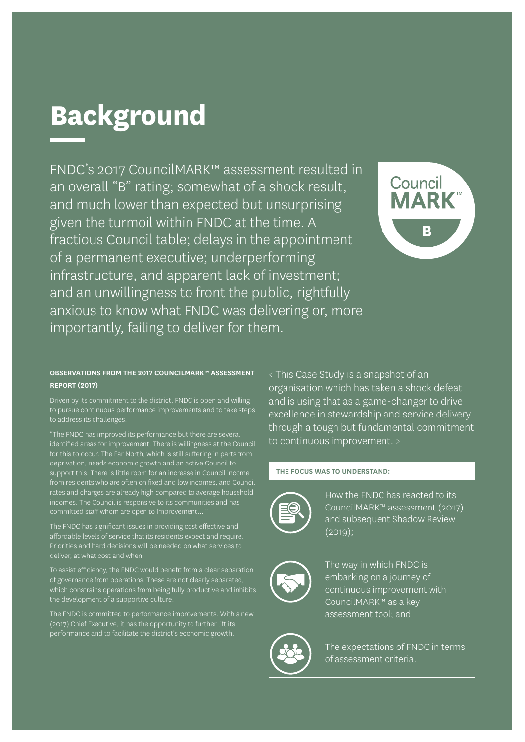# **Background**

FNDC's 2017 CouncilMARK™ assessment resulted in an overall "B" rating; somewhat of a shock result, and much lower than expected but unsurprising given the turmoil within FNDC at the time. A fractious Council table; delays in the appointment of a permanent executive; underperforming infrastructure, and apparent lack of investment; and an unwillingness to front the public, rightfully anxious to know what FNDC was delivering or, more importantly, failing to deliver for them.



#### **OBSERVATIONS FROM THE 2017 COUNCILMARK™ ASSESSMENT REPORT (2017)**

Driven by its commitment to the district, FNDC is open and willing to pursue continuous performance improvements and to take steps to address its challenges.

"The FNDC has improved its performance but there are several identified areas for improvement. There is willingness at the Council for this to occur. The Far North, which is still suffering in parts from deprivation, needs economic growth and an active Council to support this. There is little room for an increase in Council income from residents who are often on fixed and low incomes, and Council rates and charges are already high compared to average household incomes. The Council is responsive to its communities and has committed staff whom are open to improvement...

The FNDC has significant issues in providing cost effective and affordable levels of service that its residents expect and require. Priorities and hard decisions will be needed on what services to deliver, at what cost and when.

To assist efficiency, the FNDC would benefit from a clear separation of governance from operations. These are not clearly separated, which constrains operations from being fully productive and inhibits the development of a supportive culture.

The FNDC is committed to performance improvements. With a new (2017) Chief Executive, it has the opportunity to further lift its performance and to facilitate the district's economic growth.

< This Case Study is a snapshot of an organisation which has taken a shock defeat and is using that as a game-changer to drive excellence in stewardship and service delivery through a tough but fundamental commitment to continuous improvement. >

#### **THE FOCUS WAS TO UNDERSTAND:**



How the FNDC has reacted to its CouncilMARK™ assessment (2017) and subsequent Shadow Review  $(2019);$ 



The way in which FNDC is embarking on a journey of continuous improvement with CouncilMARK™ as a key assessment tool; and



The expectations of FNDC in terms of assessment criteria.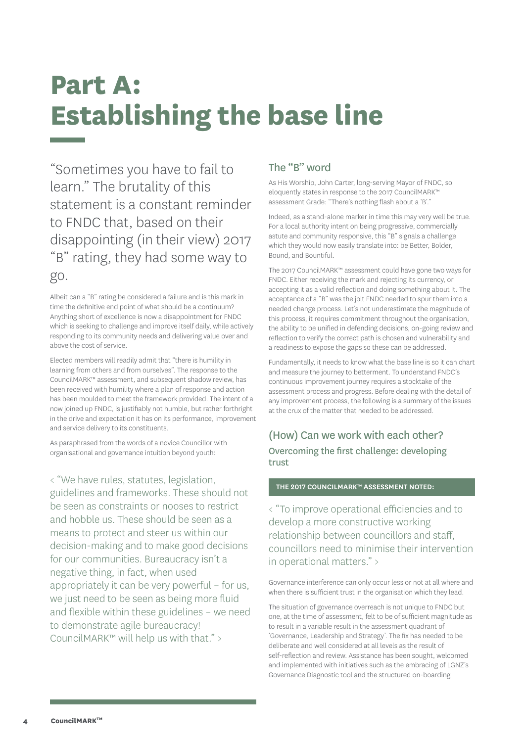## **Part A: Establishing the base line**

"Sometimes you have to fail to learn." The brutality of this statement is a constant reminder to FNDC that, based on their disappointing (in their view) 2017 "B" rating, they had some way to go.

Albeit can a "B" rating be considered a failure and is this mark in time the definitive end point of what should be a continuum? Anything short of excellence is now a disappointment for FNDC which is seeking to challenge and improve itself daily, while actively responding to its community needs and delivering value over and above the cost of service.

Elected members will readily admit that "there is humility in learning from others and from ourselves". The response to the CouncilMARK™ assessment, and subsequent shadow review, has been received with humility where a plan of response and action has been moulded to meet the framework provided. The intent of a now joined up FNDC, is justifiably not humble, but rather forthright in the drive and expectation it has on its performance, improvement and service delivery to its constituents.

As paraphrased from the words of a novice Councillor with organisational and governance intuition beyond youth:

< "We have rules, statutes, legislation, guidelines and frameworks. These should not be seen as constraints or nooses to restrict and hobble us. These should be seen as a means to protect and steer us within our decision-making and to make good decisions for our communities. Bureaucracy isn't a negative thing, in fact, when used appropriately it can be very powerful – for us, we just need to be seen as being more fluid and flexible within these guidelines – we need to demonstrate agile bureaucracy! CouncilMARK™ will help us with that." >

### The "B" word

As His Worship, John Carter, long-serving Mayor of FNDC, so eloquently states in response to the 2017 CouncilMARK™ assessment Grade: "There's nothing flash about a 'B'."

Indeed, as a stand-alone marker in time this may very well be true. For a local authority intent on being progressive, commercially astute and community responsive, this "B" signals a challenge which they would now easily translate into: be Better, Bolder, Bound, and Bountiful.

The 2017 CouncilMARK™ assessment could have gone two ways for FNDC. Either receiving the mark and rejecting its currency, or accepting it as a valid reflection and doing something about it. The acceptance of a "B" was the jolt FNDC needed to spur them into a needed change process. Let's not underestimate the magnitude of this process, it requires commitment throughout the organisation, the ability to be unified in defending decisions, on-going review and reflection to verify the correct path is chosen and vulnerability and a readiness to expose the gaps so these can be addressed.

Fundamentally, it needs to know what the base line is so it can chart and measure the journey to betterment. To understand FNDC's continuous improvement journey requires a stocktake of the assessment process and progress. Before dealing with the detail of any improvement process, the following is a summary of the issues at the crux of the matter that needed to be addressed.

## (How) Can we work with each other? Overcoming the first challenge: developing trust

#### **THE 2017 COUNCILMARK™ ASSESSMENT NOTED:**

< "To improve operational efficiencies and to develop a more constructive working relationship between councillors and staff, councillors need to minimise their intervention in operational matters." >

Governance interference can only occur less or not at all where and when there is sufficient trust in the organisation which they lead.

The situation of governance overreach is not unique to FNDC but one, at the time of assessment, felt to be of sufficient magnitude as to result in a variable result in the assessment quadrant of 'Governance, Leadership and Strategy'. The fix has needed to be deliberate and well considered at all levels as the result of self-reflection and review. Assistance has been sought, welcomed and implemented with initiatives such as the embracing of LGNZ's Governance Diagnostic tool and the structured on-boarding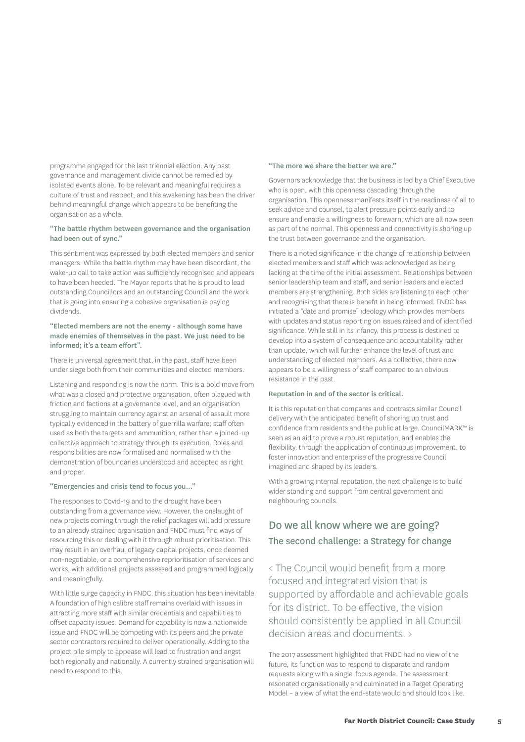programme engaged for the last triennial election. Any past governance and management divide cannot be remedied by isolated events alone. To be relevant and meaningful requires a culture of trust and respect, and this awakening has been the driver behind meaningful change which appears to be benefiting the organisation as a whole.

#### "The battle rhythm between governance and the organisation had been out of sync."

This sentiment was expressed by both elected members and senior managers. While the battle rhythm may have been discordant, the wake-up call to take action was sufficiently recognised and appears to have been heeded. The Mayor reports that he is proud to lead outstanding Councillors and an outstanding Council and the work that is going into ensuring a cohesive organisation is paying dividends.

#### "Elected members are not the enemy - although some have made enemies of themselves in the past. We just need to be informed; it's a team effort".

There is universal agreement that, in the past, staff have been under siege both from their communities and elected members.

Listening and responding is now the norm. This is a bold move from what was a closed and protective organisation, often plagued with friction and factions at a governance level, and an organisation struggling to maintain currency against an arsenal of assault more typically evidenced in the battery of guerrilla warfare; staff often used as both the targets and ammunition, rather than a joined-up collective approach to strategy through its execution. Roles and responsibilities are now formalised and normalised with the demonstration of boundaries understood and accepted as right and proper.

#### "Emergencies and crisis tend to focus you…"

The responses to Covid-19 and to the drought have been outstanding from a governance view. However, the onslaught of new projects coming through the relief packages will add pressure to an already strained organisation and FNDC must find ways of resourcing this or dealing with it through robust prioritisation. This may result in an overhaul of legacy capital projects, once deemed non-negotiable, or a comprehensive reprioritisation of services and works, with additional projects assessed and programmed logically and meaningfully.

With little surge capacity in FNDC, this situation has been inevitable. A foundation of high calibre staff remains overlaid with issues in attracting more staff with similar credentials and capabilities to offset capacity issues. Demand for capability is now a nationwide issue and FNDC will be competing with its peers and the private sector contractors required to deliver operationally. Adding to the project pile simply to appease will lead to frustration and angst both regionally and nationally. A currently strained organisation will need to respond to this.

#### "The more we share the better we are."

Governors acknowledge that the business is led by a Chief Executive who is open, with this openness cascading through the organisation. This openness manifests itself in the readiness of all to seek advice and counsel, to alert pressure points early and to ensure and enable a willingness to forewarn, which are all now seen as part of the normal. This openness and connectivity is shoring up the trust between governance and the organisation.

There is a noted significance in the change of relationship between elected members and staff which was acknowledged as being lacking at the time of the initial assessment. Relationships between senior leadership team and staff, and senior leaders and elected members are strengthening. Both sides are listening to each other and recognising that there is benefit in being informed. FNDC has initiated a "date and promise" ideology which provides members with updates and status reporting on issues raised and of identified significance. While still in its infancy, this process is destined to develop into a system of consequence and accountability rather than update, which will further enhance the level of trust and understanding of elected members. As a collective, there now appears to be a willingness of staff compared to an obvious resistance in the past.

#### Reputation in and of the sector is critical.

It is this reputation that compares and contrasts similar Council delivery with the anticipated benefit of shoring up trust and confidence from residents and the public at large. CouncilMARK™ is seen as an aid to prove a robust reputation, and enables the flexibility, through the application of continuous improvement, to foster innovation and enterprise of the progressive Council imagined and shaped by its leaders.

With a growing internal reputation, the next challenge is to build wider standing and support from central government and neighbouring councils.

### Do we all know where we are going? The second challenge: a Strategy for change

< The Council would benefit from a more focused and integrated vision that is supported by affordable and achievable goals for its district. To be effective, the vision should consistently be applied in all Council decision areas and documents. >

The 2017 assessment highlighted that FNDC had no view of the future, its function was to respond to disparate and random requests along with a single-focus agenda. The assessment resonated organisationally and culminated in a Target Operating Model – a view of what the end-state would and should look like.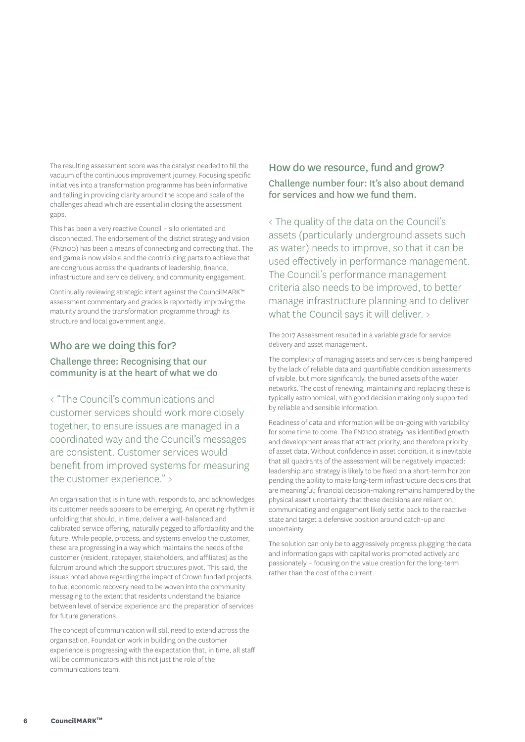The resulting assessment score was the catalyst needed to fill the vacuum of the continuous improvement journey. Focusing specific initiatives into a transformation programme has been informative and telling in providing clarity around the scope and scale of the challenges ahead which are essential in closing the assessment gaps.

This has been a very reactive Council – silo orientated and disconnected. The endorsement of the district strategy and vision (FN2100) has been a means of connecting and correcting that. The end game is now visible and the contributing parts to achieve that are congruous across the quadrants of leadership, finance, infrastructure and service delivery, and community engagement.

Continually reviewing strategic intent against the CouncilMARK™ assessment commentary and grades is reportedly improving the maturity around the transformation programme through its structure and local government angle.

### Who are we doing this for?

#### Challenge three: Recognising that our community is at the heart of what we do

< "The Council's communications and customer services should work more closely together, to ensure issues are managed in a coordinated way and the Council's messages are consistent. Customer services would benefit from improved systems for measuring the customer experience." >

An organisation that is in tune with, responds to, and acknowledges its customer needs appears to be emerging. An operating rhythm is unfolding that should, in time, deliver a well-balanced and calibrated service offering, naturally pegged to affordability and the future. While people, process, and systems envelop the customer, these are progressing in a way which maintains the needs of the customer (resident, ratepayer, stakeholders, and affiliates) as the fulcrum around which the support structures pivot. This said, the issues noted above regarding the impact of Crown funded projects to fuel economic recovery need to be woven into the community messaging to the extent that residents understand the balance between level of service experience and the preparation of services for future generations.

The concept of communication will still need to extend across the organisation. Foundation work in building on the customer experience is progressing with the expectation that, in time, all staff will be communicators with this not just the role of the communications team.

### How do we resource, fund and grow? Challenge number four: It's also about demand for services and how we fund them.

< The quality of the data on the Council's assets (particularly underground assets such as water) needs to improve, so that it can be used effectively in performance management. The Council's performance management criteria also needs to be improved, to better manage infrastructure planning and to deliver what the Council says it will deliver. >

The 2017 Assessment resulted in a variable grade for service delivery and asset management.

The complexity of managing assets and services is being hampered by the lack of reliable data and quantifiable condition assessments of visible, but more significantly, the buried assets of the water networks. The cost of renewing, maintaining and replacing these is typically astronomical, with good decision making only supported by reliable and sensible information.

Readiness of data and information will be on-going with variability for some time to come. The FN2100 strategy has identified growth and development areas that attract priority, and therefore priority of asset data. Without confidence in asset condition, it is inevitable that all quadrants of the assessment will be negatively impacted: leadership and strategy is likely to be fixed on a short-term horizon pending the ability to make long-term infrastructure decisions that are meaningful; financial decision-making remains hampered by the physical asset uncertainty that these decisions are reliant on; communicating and engagement likely settle back to the reactive state and target a defensive position around catch-up and uncertainty.

The solution can only be to aggressively progress plugging the data and information gaps with capital works promoted actively and passionately – focusing on the value creation for the long-term rather than the cost of the current.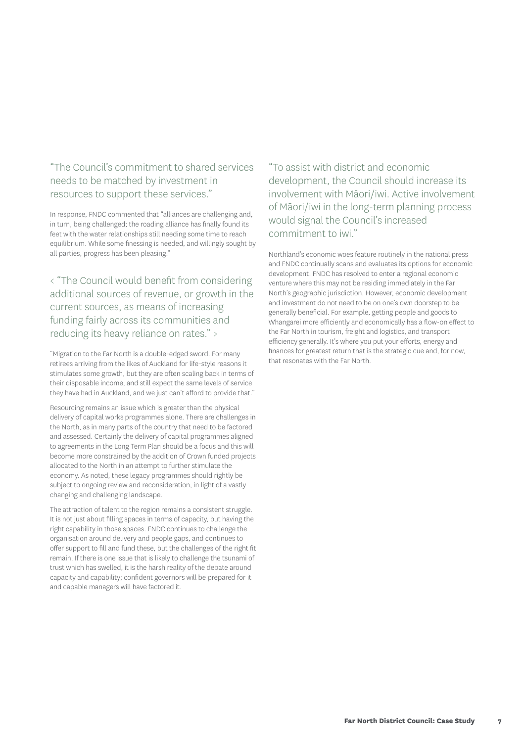### "The Council's commitment to shared services needs to be matched by investment in resources to support these services."

In response, FNDC commented that "alliances are challenging and, in turn, being challenged; the roading alliance has finally found its feet with the water relationships still needing some time to reach equilibrium. While some finessing is needed, and willingly sought by all parties, progress has been pleasing."

< "The Council would benefit from considering additional sources of revenue, or growth in the current sources, as means of increasing funding fairly across its communities and reducing its heavy reliance on rates." >

"Migration to the Far North is a double-edged sword. For many retirees arriving from the likes of Auckland for life-style reasons it stimulates some growth, but they are often scaling back in terms of their disposable income, and still expect the same levels of service they have had in Auckland, and we just can't afford to provide that."

Resourcing remains an issue which is greater than the physical delivery of capital works programmes alone. There are challenges in the North, as in many parts of the country that need to be factored and assessed. Certainly the delivery of capital programmes aligned to agreements in the Long Term Plan should be a focus and this will become more constrained by the addition of Crown funded projects allocated to the North in an attempt to further stimulate the economy. As noted, these legacy programmes should rightly be subject to ongoing review and reconsideration, in light of a vastly changing and challenging landscape.

The attraction of talent to the region remains a consistent struggle. It is not just about filling spaces in terms of capacity, but having the right capability in those spaces. FNDC continues to challenge the organisation around delivery and people gaps, and continues to offer support to fill and fund these, but the challenges of the right fit remain. If there is one issue that is likely to challenge the tsunami of trust which has swelled, it is the harsh reality of the debate around capacity and capability; confident governors will be prepared for it and capable managers will have factored it.

"To assist with district and economic development, the Council should increase its involvement with Māori/iwi. Active involvement of Māori/iwi in the long-term planning process would signal the Council's increased commitment to iwi."

Northland's economic woes feature routinely in the national press and FNDC continually scans and evaluates its options for economic development. FNDC has resolved to enter a regional economic venture where this may not be residing immediately in the Far North's geographic jurisdiction. However, economic development and investment do not need to be on one's own doorstep to be generally beneficial. For example, getting people and goods to Whangarei more efficiently and economically has a flow-on effect to the Far North in tourism, freight and logistics, and transport efficiency generally. It's where you put your efforts, energy and finances for greatest return that is the strategic cue and, for now, that resonates with the Far North.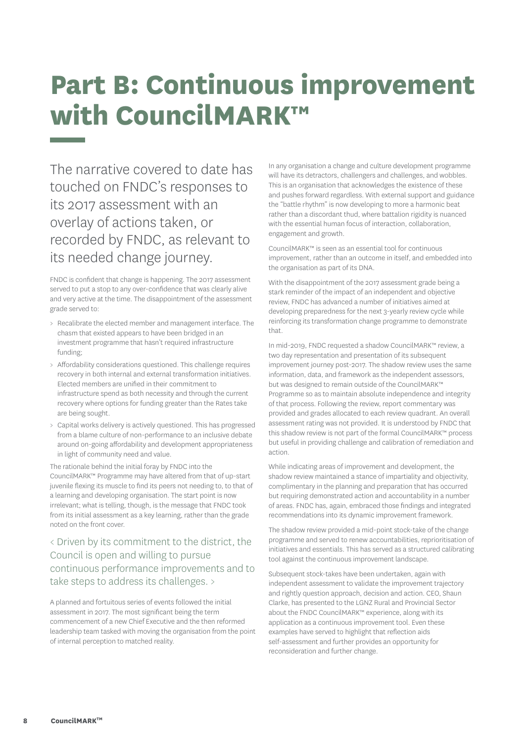## **Part B: Continuous improvement with CouncilMARK™**

The narrative covered to date has touched on FNDC's responses to its 2017 assessment with an overlay of actions taken, or recorded by FNDC, as relevant to its needed change journey.

FNDC is confident that change is happening. The 2017 assessment served to put a stop to any over-confidence that was clearly alive and very active at the time. The disappointment of the assessment grade served to:

- > Recalibrate the elected member and management interface. The chasm that existed appears to have been bridged in an investment programme that hasn't required infrastructure funding;
- > Affordability considerations questioned. This challenge requires recovery in both internal and external transformation initiatives. Elected members are unified in their commitment to infrastructure spend as both necessity and through the current recovery where options for funding greater than the Rates take are being sought.
- > Capital works delivery is actively questioned. This has progressed from a blame culture of non-performance to an inclusive debate around on-going affordability and development appropriateness in light of community need and value.

The rationale behind the initial foray by FNDC into the CouncilMARK™ Programme may have altered from that of up-start juvenile flexing its muscle to find its peers not needing to, to that of a learning and developing organisation. The start point is now irrelevant; what is telling, though, is the message that FNDC took from its initial assessment as a key learning, rather than the grade noted on the front cover.

### < Driven by its commitment to the district, the Council is open and willing to pursue continuous performance improvements and to take steps to address its challenges. >

A planned and fortuitous series of events followed the initial assessment in 2017. The most significant being the term commencement of a new Chief Executive and the then reformed leadership team tasked with moving the organisation from the point of internal perception to matched reality.

In any organisation a change and culture development programme will have its detractors, challengers and challenges, and wobbles. This is an organisation that acknowledges the existence of these and pushes forward regardless. With external support and guidance the "battle rhythm" is now developing to more a harmonic beat rather than a discordant thud, where battalion rigidity is nuanced with the essential human focus of interaction, collaboration, engagement and growth.

CouncilMARK™ is seen as an essential tool for continuous improvement, rather than an outcome in itself, and embedded into the organisation as part of its DNA.

With the disappointment of the 2017 assessment grade being a stark reminder of the impact of an independent and objective review, FNDC has advanced a number of initiatives aimed at developing preparedness for the next 3-yearly review cycle while reinforcing its transformation change programme to demonstrate that.

In mid-2019, FNDC requested a shadow CouncilMARK™ review, a two day representation and presentation of its subsequent improvement journey post-2017. The shadow review uses the same information, data, and framework as the independent assessors, but was designed to remain outside of the CouncilMARK™ Programme so as to maintain absolute independence and integrity of that process. Following the review, report commentary was provided and grades allocated to each review quadrant. An overall assessment rating was not provided. It is understood by FNDC that this shadow review is not part of the formal CouncilMARK™ process but useful in providing challenge and calibration of remediation and action.

While indicating areas of improvement and development, the shadow review maintained a stance of impartiality and objectivity, complimentary in the planning and preparation that has occurred but requiring demonstrated action and accountability in a number of areas. FNDC has, again, embraced those findings and integrated recommendations into its dynamic improvement framework.

The shadow review provided a mid-point stock-take of the change programme and served to renew accountabilities, reprioritisation of initiatives and essentials. This has served as a structured calibrating tool against the continuous improvement landscape.

Subsequent stock-takes have been undertaken, again with independent assessment to validate the improvement trajectory and rightly question approach, decision and action. CEO, Shaun Clarke, has presented to the LGNZ Rural and Provincial Sector about the FNDC CouncilMARK™ experience, along with its application as a continuous improvement tool. Even these examples have served to highlight that reflection aids self-assessment and further provides an opportunity for reconsideration and further change.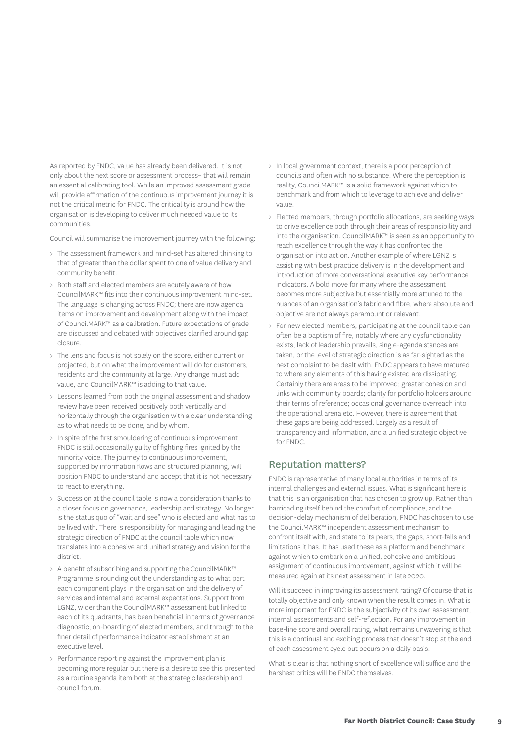As reported by FNDC, value has already been delivered. It is not only about the next score or assessment process– that will remain an essential calibrating tool. While an improved assessment grade will provide affirmation of the continuous improvement journey it is not the critical metric for FNDC. The criticality is around how the organisation is developing to deliver much needed value to its communities.

Council will summarise the improvement journey with the following:

- > The assessment framework and mind-set has altered thinking to that of greater than the dollar spent to one of value delivery and community benefit.
- > Both staff and elected members are acutely aware of how CouncilMARK™ fits into their continuous improvement mind-set. The language is changing across FNDC; there are now agenda items on improvement and development along with the impact of CouncilMARK™ as a calibration. Future expectations of grade are discussed and debated with objectives clarified around gap closure.
- > The lens and focus is not solely on the score, either current or projected, but on what the improvement will do for customers, residents and the community at large. Any change must add value, and CouncilMARK™ is adding to that value.
- > Lessons learned from both the original assessment and shadow review have been received positively both vertically and horizontally through the organisation with a clear understanding as to what needs to be done, and by whom.
- > In spite of the first smouldering of continuous improvement, FNDC is still occasionally guilty of fighting fires ignited by the minority voice. The journey to continuous improvement, supported by information flows and structured planning, will position FNDC to understand and accept that it is not necessary to react to everything.
- > Succession at the council table is now a consideration thanks to a closer focus on governance, leadership and strategy. No longer is the status quo of "wait and see" who is elected and what has to be lived with. There is responsibility for managing and leading the strategic direction of FNDC at the council table which now translates into a cohesive and unified strategy and vision for the district.
- > A benefit of subscribing and supporting the CouncilMARK™ Programme is rounding out the understanding as to what part each component plays in the organisation and the delivery of services and internal and external expectations. Support from LGNZ, wider than the CouncilMARK™ assessment but linked to each of its quadrants, has been beneficial in terms of governance diagnostic, on-boarding of elected members, and through to the finer detail of performance indicator establishment at an executive level.
- > Performance reporting against the improvement plan is becoming more regular but there is a desire to see this presented as a routine agenda item both at the strategic leadership and council forum.
- > In local government context, there is a poor perception of councils and often with no substance. Where the perception is reality, CouncilMARK™ is a solid framework against which to benchmark and from which to leverage to achieve and deliver value.
- > Elected members, through portfolio allocations, are seeking ways to drive excellence both through their areas of responsibility and into the organisation. CouncilMARK™ is seen as an opportunity to reach excellence through the way it has confronted the organisation into action. Another example of where LGNZ is assisting with best practice delivery is in the development and introduction of more conversational executive key performance indicators. A bold move for many where the assessment becomes more subjective but essentially more attuned to the nuances of an organisation's fabric and fibre, where absolute and objective are not always paramount or relevant.
- > For new elected members, participating at the council table can often be a baptism of fire, notably where any dysfunctionality exists, lack of leadership prevails, single-agenda stances are taken, or the level of strategic direction is as far-sighted as the next complaint to be dealt with. FNDC appears to have matured to where any elements of this having existed are dissipating. Certainly there are areas to be improved; greater cohesion and links with community boards; clarity for portfolio holders around their terms of reference; occasional governance overreach into the operational arena etc. However, there is agreement that these gaps are being addressed. Largely as a result of transparency and information, and a unified strategic objective for FNDC.

#### Reputation matters?

FNDC is representative of many local authorities in terms of its internal challenges and external issues. What is significant here is that this is an organisation that has chosen to grow up. Rather than barricading itself behind the comfort of compliance, and the decision-delay mechanism of deliberation, FNDC has chosen to use the CouncilMARK™ independent assessment mechanism to confront itself with, and state to its peers, the gaps, short-falls and limitations it has. It has used these as a platform and benchmark against which to embark on a unified, cohesive and ambitious assignment of continuous improvement, against which it will be measured again at its next assessment in late 2020.

Will it succeed in improving its assessment rating? Of course that is totally objective and only known when the result comes in. What is more important for FNDC is the subjectivity of its own assessment, internal assessments and self-reflection. For any improvement in base-line score and overall rating, what remains unwavering is that this is a continual and exciting process that doesn't stop at the end of each assessment cycle but occurs on a daily basis.

What is clear is that nothing short of excellence will suffice and the harshest critics will be FNDC themselves.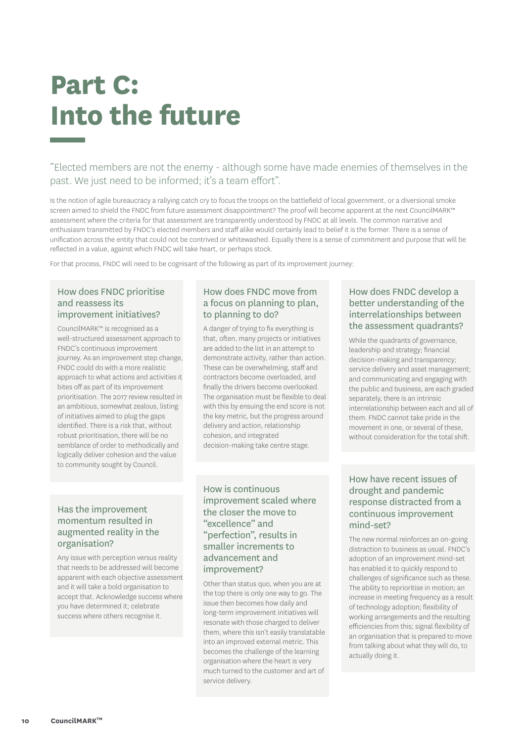## **Part C: Into the future**

"Elected members are not the enemy - although some have made enemies of themselves in the past. We just need to be informed; it's a team effort".

Is the notion of agile bureaucracy a rallying catch cry to focus the troops on the battlefield of local government, or a diversional smoke screen aimed to shield the FNDC from future assessment disappointment? The proof will become apparent at the next CouncilMARK™ assessment where the criteria for that assessment are transparently understood by FNDC at all levels. The common narrative and enthusiasm transmitted by FNDC's elected members and staff alike would certainly lead to belief it is the former. There is a sense of unification across the entity that could not be contrived or whitewashed. Equally there is a sense of commitment and purpose that will be reflected in a value, against which FNDC will take heart, or perhaps stock.

For that process, FNDC will need to be cognisant of the following as part of its improvement journey:

#### How does FNDC prioritise and reassess its improvement initiatives?

CouncilMARK™ is recognised as a well-structured assessment approach to FNDC's continuous improvement journey. As an improvement step change, FNDC could do with a more realistic approach to what actions and activities it bites off as part of its improvement prioritisation. The 2017 review resulted in an ambitious, somewhat zealous, listing of initiatives aimed to plug the gaps identified. There is a risk that, without robust prioritisation, there will be no semblance of order to methodically and logically deliver cohesion and the value to community sought by Council.

#### How does FNDC move from a focus on planning to plan, to planning to do?

A danger of trying to fix everything is that, often, many projects or initiatives are added to the list in an attempt to demonstrate activity, rather than action. These can be overwhelming, staff and contractors become overloaded, and finally the drivers become overlooked. The organisation must be flexible to deal with this by ensuing the end score is not the key metric, but the progress around delivery and action, relationship cohesion, and integrated decision-making take centre stage.

#### Has the improvement momentum resulted in augmented reality in the organisation?

Any issue with perception versus reality that needs to be addressed will become apparent with each objective assessment and it will take a bold organisation to accept that. Acknowledge success where you have determined it; celebrate success where others recognise it.

How is continuous improvement scaled where the closer the move to "excellence" and "perfection", results in smaller increments to advancement and improvement?

Other than status quo, when you are at the top there is only one way to go. The issue then becomes how daily and long-term improvement initiatives will resonate with those charged to deliver them, where this isn't easily translatable into an improved external metric. This becomes the challenge of the learning organisation where the heart is very much turned to the customer and art of service delivery.

#### How does FNDC develop a better understanding of the interrelationships between the assessment quadrants?

While the quadrants of governance, leadership and strategy; financial decision-making and transparency; service delivery and asset management; and communicating and engaging with the public and business, are each graded separately, there is an intrinsic interrelationship between each and all of them. FNDC cannot take pride in the movement in one, or several of these, without consideration for the total shift.

#### How have recent issues of drought and pandemic response distracted from a continuous improvement mind-set?

The new normal reinforces an on-going distraction to business as usual. FNDC's adoption of an improvement mind-set has enabled it to quickly respond to challenges of significance such as these. The ability to reprioritise in motion; an increase in meeting frequency as a result of technology adoption; flexibility of working arrangements and the resulting efficiencies from this; signal flexibility of an organisation that is prepared to move from talking about what they will do, to actually doing it.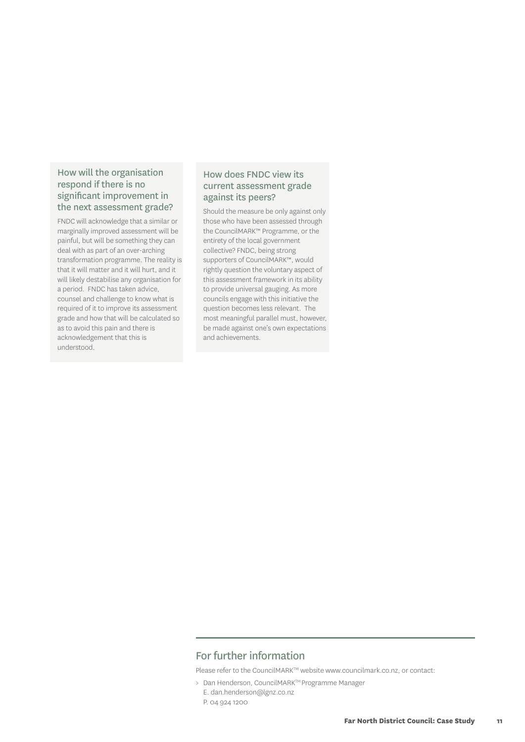#### How will the organisation respond if there is no significant improvement in the next assessment grade?

FNDC will acknowledge that a similar or marginally improved assessment will be painful, but will be something they can deal with as part of an over-arching transformation programme. The reality is that it will matter and it will hurt, and it will likely destabilise any organisation for a period. FNDC has taken advice, counsel and challenge to know what is required of it to improve its assessment grade and how that will be calculated so as to avoid this pain and there is acknowledgement that this is understood.

#### How does FNDC view its current assessment grade against its peers?

Should the measure be only against only those who have been assessed through the CouncilMARK™ Programme, or the entirety of the local government collective? FNDC, being strong supporters of CouncilMARK™, would rightly question the voluntary aspect of this assessment framework in its ability to provide universal gauging. As more councils engage with this initiative the question becomes less relevant. The most meaningful parallel must, however, be made against one's own expectations and achievements.

#### For further information

Please refer to the CouncilMARK™ website www.councilmark.co.nz, or contact:

> Dan Henderson, CouncilMARKTM Programme Manager E. dan.henderson@lgnz.co.nz P. 04 924 1200